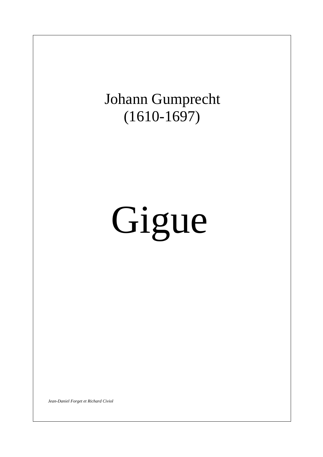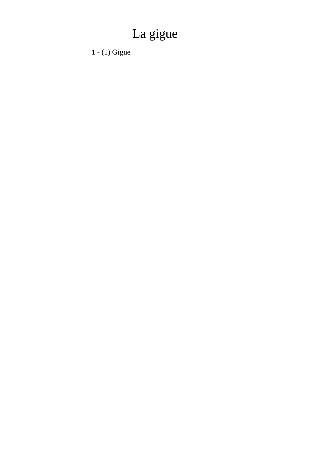## La gigue

 $1 - (1)$  Gigue